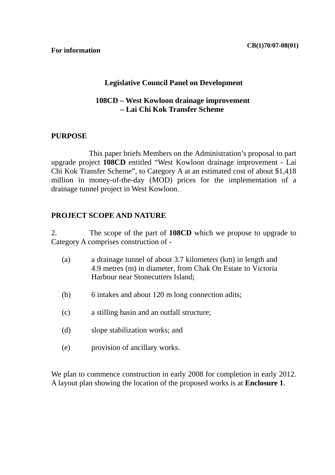#### **For information**

### **Legislative Council Panel on Development**

### **108CD – West Kowloon drainage improvement – Lai Chi Kok Transfer Scheme**

### **PURPOSE**

This paper briefs Members on the Administration's proposal to part upgrade project **108CD** entitled "West Kowloon drainage improvement - Lai Chi Kok Transfer Scheme", to Category A at an estimated cost of about \$1,418 million in money-of-the-day (MOD) prices for the implementation of a drainage tunnel project in West Kowloon.

#### **PROJECT SCOPE AND NATURE**

2. The scope of the part of **108CD** which we propose to upgrade to Category A comprises construction of -

- (a) a drainage tunnel of about 3.7 kilometers (km) in length and 4.9 metres (m) in diameter, from Chak On Estate to Victoria Harbour near Stonecutters Island;
- (b) 6 intakes and about 120 m long connection adits;
- (c) a stilling basin and an outfall structure;
- (d) slope stabilization works; and
- (e) provision of ancillary works.

We plan to commence construction in early 2008 for completion in early 2012. A layout plan showing the location of the proposed works is at **Enclosure 1**.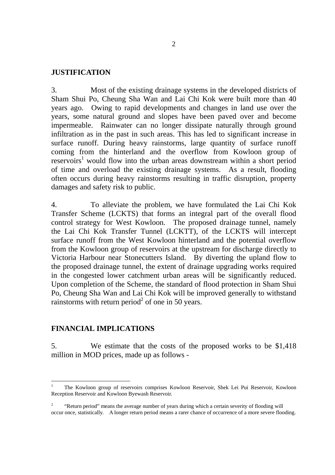#### **JUSTIFICATION**

3. Most of the existing drainage systems in the developed districts of Sham Shui Po, Cheung Sha Wan and Lai Chi Kok were built more than 40 years ago. Owing to rapid developments and changes in land use over the years, some natural ground and slopes have been paved over and become impermeable. Rainwater can no longer dissipate naturally through ground infiltration as in the past in such areas. This has led to significant increase in surface runoff. During heavy rainstorms, large quantity of surface runoff coming from the hinterland and the overflow from Kowloon group of  $reservoir<sup>1</sup>$  would flow into the urban areas downstream within a short period of time and overload the existing drainage systems. As a result, flooding often occurs during heavy rainstorms resulting in traffic disruption, property damages and safety risk to public.

4. To alleviate the problem, we have formulated the Lai Chi Kok Transfer Scheme (LCKTS) that forms an integral part of the overall flood control strategy for West Kowloon. The proposed drainage tunnel, namely the Lai Chi Kok Transfer Tunnel (LCKTT), of the LCKTS will intercept surface runoff from the West Kowloon hinterland and the potential overflow from the Kowloon group of reservoirs at the upstream for discharge directly to Victoria Harbour near Stonecutters Island. By diverting the upland flow to the proposed drainage tunnel, the extent of drainage upgrading works required in the congested lower catchment urban areas will be significantly reduced. Upon completion of the Scheme, the standard of flood protection in Sham Shui Po, Cheung Sha Wan and Lai Chi Kok will be improved generally to withstand rainstorms with return period<sup>2</sup> of one in 50 years.

#### **FINANCIAL IMPLICATIONS**

5. We estimate that the costs of the proposed works to be \$1,418 million in MOD prices, made up as follows -

<sup>1</sup> The Kowloon group of reservoirs comprises Kowloon Reservoir, Shek Lei Pui Reservoir, Kowloon Reception Reservoir and Kowloon Byewash Reservoir.

<sup>2</sup> "Return period" means the average number of years during which a certain severity of flooding will occur once, statistically. A longer return period means a rarer chance of occurrence of a more severe flooding.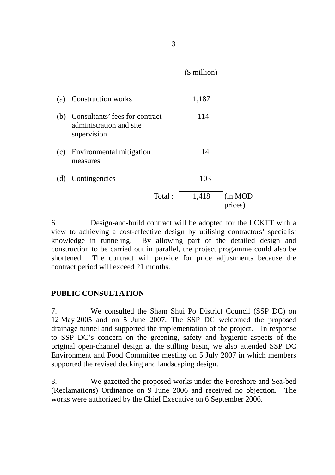(\$ million)

|     | (a) Construction works                                                       |        | 1,187 |                     |
|-----|------------------------------------------------------------------------------|--------|-------|---------------------|
|     | (b) Consultants' fees for contract<br>administration and site<br>supervision |        | 114   |                     |
| (c) | Environmental mitigation<br>measures                                         |        | 14    |                     |
|     | (d) Contingencies                                                            |        | 103   |                     |
|     |                                                                              | Total: | 1,418 | (in MOD)<br>prices) |

6. Design-and-build contract will be adopted for the LCKTT with a view to achieving a cost-effective design by utilising contractors' specialist knowledge in tunneling. By allowing part of the detailed design and construction to be carried out in parallel, the project progamme could also be shortened. The contract will provide for price adjustments because the contract period will exceed 21 months.

## **PUBLIC CONSULTATION**

7. We consulted the Sham Shui Po District Council (SSP DC) on 12 May 2005 and on 5 June 2007. The SSP DC welcomed the proposed drainage tunnel and supported the implementation of the project. In response to SSP DC's concern on the greening, safety and hygienic aspects of the original open-channel design at the stilling basin, we also attended SSP DC Environment and Food Committee meeting on 5 July 2007 in which members supported the revised decking and landscaping design.

8. We gazetted the proposed works under the Foreshore and Sea-bed (Reclamations) Ordinance on 9 June 2006 and received no objection. The works were authorized by the Chief Executive on 6 September 2006.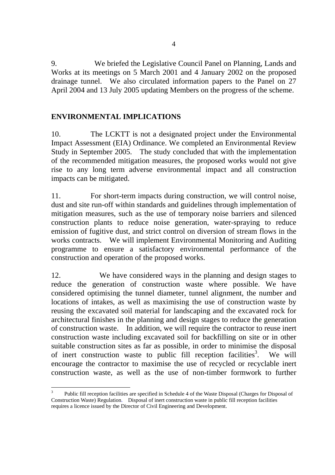9. We briefed the Legislative Council Panel on Planning, Lands and Works at its meetings on 5 March 2001 and 4 January 2002 on the proposed drainage tunnel. We also circulated information papers to the Panel on 27 April 2004 and 13 July 2005 updating Members on the progress of the scheme.

## **ENVIRONMENTAL IMPLICATIONS**

10. The LCKTT is not a designated project under the Environmental Impact Assessment (EIA) Ordinance. We completed an Environmental Review Study in September 2005. The study concluded that with the implementation of the recommended mitigation measures, the proposed works would not give rise to any long term adverse environmental impact and all construction impacts can be mitigated.

11. For short-term impacts during construction, we will control noise, dust and site run-off within standards and guidelines through implementation of mitigation measures, such as the use of temporary noise barriers and silenced construction plants to reduce noise generation, water-spraying to reduce emission of fugitive dust, and strict control on diversion of stream flows in the works contracts. We will implement Environmental Monitoring and Auditing programme to ensure a satisfactory environmental performance of the construction and operation of the proposed works.

12. We have considered ways in the planning and design stages to reduce the generation of construction waste where possible. We have considered optimising the tunnel diameter, tunnel alignment, the number and locations of intakes, as well as maximising the use of construction waste by reusing the excavated soil material for landscaping and the excavated rock for architectural finishes in the planning and design stages to reduce the generation of construction waste. In addition, we will require the contractor to reuse inert construction waste including excavated soil for backfilling on site or in other suitable construction sites as far as possible, in order to minimise the disposal of inert construction waste to public fill reception facilities<sup>3</sup>. We will encourage the contractor to maximise the use of recycled or recyclable inert construction waste, as well as the use of non-timber formwork to further

 3 Public fill reception facilities are specified in Schedule 4 of the Waste Disposal (Charges for Disposal of Construction Waste) Regulation. Disposal of inert construction waste in public fill reception facilities requires a licence issued by the Director of Civil Engineering and Development.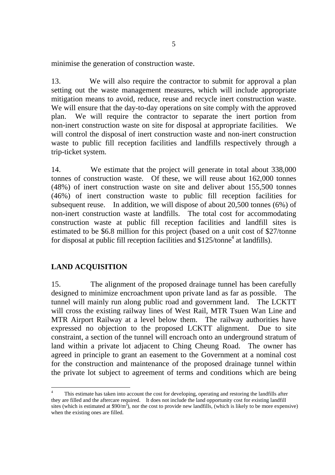minimise the generation of construction waste.

13. We will also require the contractor to submit for approval a plan setting out the waste management measures, which will include appropriate mitigation means to avoid, reduce, reuse and recycle inert construction waste. We will ensure that the day-to-day operations on site comply with the approved plan. We will require the contractor to separate the inert portion from non-inert construction waste on site for disposal at appropriate facilities. We will control the disposal of inert construction waste and non-inert construction waste to public fill reception facilities and landfills respectively through a trip-ticket system.

14. We estimate that the project will generate in total about 338,000 tonnes of construction waste. Of these, we will reuse about 162,000 tonnes (48%) of inert construction waste on site and deliver about 155,500 tonnes (46%) of inert construction waste to public fill reception facilities for subsequent reuse. In addition, we will dispose of about 20,500 tonnes (6%) of non-inert construction waste at landfills. The total cost for accommodating construction waste at public fill reception facilities and landfill sites is estimated to be \$6.8 million for this project (based on a unit cost of \$27/tonne for disposal at public fill reception facilities and  $$125/tonne<sup>4</sup>$  at landfills).

## **LAND ACQUISITION**

15. The alignment of the proposed drainage tunnel has been carefully designed to minimize encroachment upon private land as far as possible. The tunnel will mainly run along public road and government land. The LCKTT will cross the existing railway lines of West Rail, MTR Tsuen Wan Line and MTR Airport Railway at a level below them. The railway authorities have expressed no objection to the proposed LCKTT alignment. Due to site constraint, a section of the tunnel will encroach onto an underground stratum of land within a private lot adjacent to Ching Cheung Road. The owner has agreed in principle to grant an easement to the Government at a nominal cost for the construction and maintenance of the proposed drainage tunnel within the private lot subject to agreement of terms and conditions which are being

<sup>4</sup> This estimate has taken into account the cost for developing, operating and restoring the landfills after they are filled and the aftercare required. It does not include the land opportunity cost for existing landfill sites (which is estimated at \$90/ $m^3$ ), nor the cost to provide new landfills, (which is likely to be more expensive) when the existing ones are filled.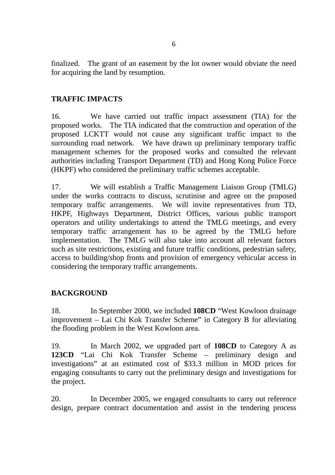finalized. The grant of an easement by the lot owner would obviate the need for acquiring the land by resumption.

# **TRAFFIC IMPACTS**

16. We have carried out traffic impact assessment (TIA) for the proposed works. The TIA indicated that the construction and operation of the proposed LCKTT would not cause any significant traffic impact to the surrounding road network. We have drawn up preliminary temporary traffic management schemes for the proposed works and consulted the relevant authorities including Transport Department (TD) and Hong Kong Police Force (HKPF) who considered the preliminary traffic schemes acceptable.

17. We will establish a Traffic Management Liaison Group (TMLG) under the works contracts to discuss, scrutinise and agree on the proposed temporary traffic arrangements. We will invite representatives from TD, HKPF, Highways Department, District Offices, various public transport operators and utility undertakings to attend the TMLG meetings, and every temporary traffic arrangement has to be agreed by the TMLG before implementation. The TMLG will also take into account all relevant factors such as site restrictions, existing and future traffic conditions, pedestrian safety, access to building/shop fronts and provision of emergency vehicular access in considering the temporary traffic arrangements.

## **BACKGROUND**

18. In September 2000, we included **108CD** "West Kowloon drainage improvement – Lai Chi Kok Transfer Scheme" in Category B for alleviating the flooding problem in the West Kowloon area.

19. In March 2002, we upgraded part of **108CD** to Category A as **123CD** "Lai Chi Kok Transfer Scheme – preliminary design and investigations" at an estimated cost of \$33.3 million in MOD prices for engaging consultants to carry out the preliminary design and investigations for the project.

20. In December 2005, we engaged consultants to carry out reference design, prepare contract documentation and assist in the tendering process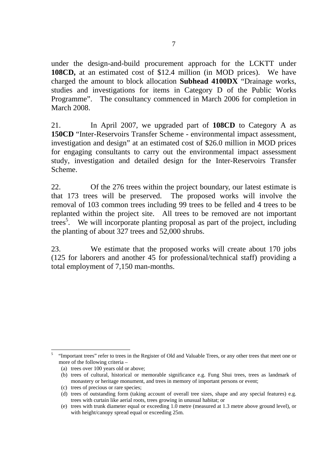under the design-and-build procurement approach for the LCKTT under **108CD,** at an estimated cost of \$12.4 million (in MOD prices). We have charged the amount to block allocation **Subhead 4100DX** "Drainage works, studies and investigations for items in Category D of the Public Works Programme". The consultancy commenced in March 2006 for completion in March 2008.

21. In April 2007, we upgraded part of **108CD** to Category A as **150CD** "Inter-Reservoirs Transfer Scheme - environmental impact assessment, investigation and design" at an estimated cost of \$26.0 million in MOD prices for engaging consultants to carry out the environmental impact assessment study, investigation and detailed design for the Inter-Reservoirs Transfer Scheme.

22. Of the 276 trees within the project boundary, our latest estimate is that 173 trees will be preserved. The proposed works will involve the removal of 103 common trees including 99 trees to be felled and 4 trees to be replanted within the project site. All trees to be removed are not important trees<sup>5</sup>. We will incorporate planting proposal as part of the project, including the planting of about 327 trees and 52,000 shrubs.

23. We estimate that the proposed works will create about 170 jobs (125 for laborers and another 45 for professional/technical staff) providing a total employment of 7,150 man-months.

<sup>5</sup> "Important trees" refer to trees in the Register of Old and Valuable Trees, or any other trees that meet one or more of the following criteria –

<sup>(</sup>a) trees over 100 years old or above;

<sup>(</sup>b) trees of cultural, historical or memorable significance e.g. Fung Shui trees, trees as landmark of monastery or heritage monument, and trees in memory of important persons or event;

<sup>(</sup>c) trees of precious or rare species;

<sup>(</sup>d) trees of outstanding form (taking account of overall tree sizes, shape and any special features) e.g. trees with curtain like aerial roots, trees growing in unusual habitat; or

<sup>(</sup>e) trees with trunk diameter equal or exceeding 1.0 metre (measured at 1.3 metre above ground level), or with height/canopy spread equal or exceeding 25m.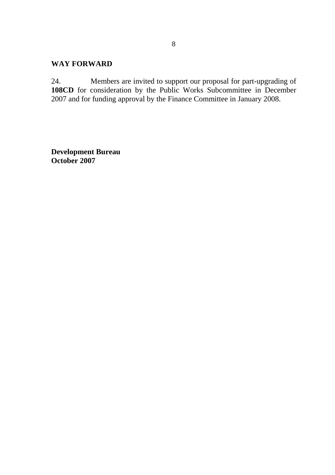#### **WAY FORWARD**

24. Members are invited to support our proposal for part-upgrading of 108CD for consideration by the Public Works Subcommittee in December 2007 and for funding approval by the Finance Committee in January 2008.

**Development Bureau October 2007**